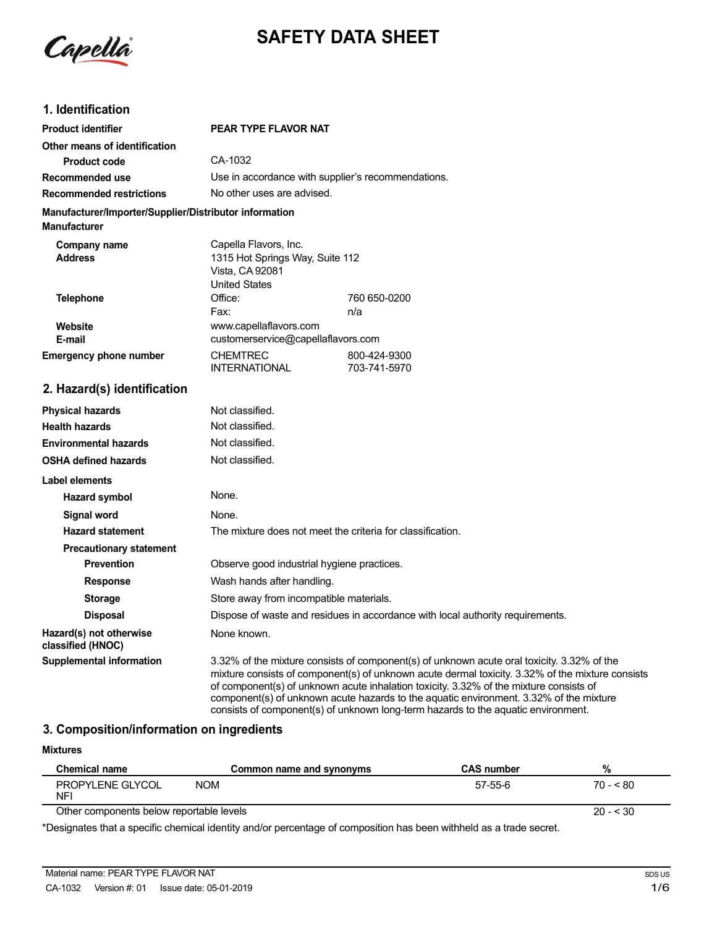

# **SAFETY DATA SHEET**

## **1. Identification**

| <b>Product identifier</b>                                                     | PEAR TYPE FLAVOR NAT                                                                                |              |  |
|-------------------------------------------------------------------------------|-----------------------------------------------------------------------------------------------------|--------------|--|
| Other means of identification                                                 |                                                                                                     |              |  |
| <b>Product code</b>                                                           | CA-1032                                                                                             |              |  |
| Recommended use                                                               | Use in accordance with supplier's recommendations.                                                  |              |  |
| <b>Recommended restrictions</b>                                               | No other uses are advised.                                                                          |              |  |
| Manufacturer/Importer/Supplier/Distributor information<br><b>Manufacturer</b> |                                                                                                     |              |  |
| Company name<br><b>Address</b>                                                | Capella Flavors, Inc.<br>1315 Hot Springs Way, Suite 112<br>Vista, CA 92081<br><b>United States</b> |              |  |
| <b>Telephone</b>                                                              | Office:                                                                                             | 760 650-0200 |  |
|                                                                               | Fax:                                                                                                | n/a          |  |
| Website<br>E-mail                                                             | www.capellaflavors.com<br>customerservice@capellaflavors.com                                        |              |  |
| <b>Emergency phone number</b>                                                 | <b>CHEMTREC</b><br>800-424-9300<br><b>INTERNATIONAL</b><br>703-741-5970                             |              |  |
| 2. Hazard(s) identification                                                   |                                                                                                     |              |  |
| <b>Physical hazards</b>                                                       | Not classified.                                                                                     |              |  |
| <b>Health hazards</b>                                                         | Not classified.                                                                                     |              |  |
| <b>Environmental hazards</b>                                                  | Not classified.                                                                                     |              |  |
| <b>OSHA defined hazards</b>                                                   | Not classified.                                                                                     |              |  |
| <b>Label elements</b>                                                         |                                                                                                     |              |  |
| <b>Hazard symbol</b>                                                          | None.                                                                                               |              |  |
| <b>Signal word</b>                                                            | None.                                                                                               |              |  |
| <b>Hazard statement</b>                                                       | The mixture does not meet the criteria for classification.                                          |              |  |
| <b>Precautionary statement</b>                                                |                                                                                                     |              |  |
| <b>Prevention</b>                                                             | Observe good industrial hygiene practices.                                                          |              |  |
| <b>Response</b>                                                               | Wash hands after handling.                                                                          |              |  |
|                                                                               |                                                                                                     |              |  |

**Storage** Store away from incompatible materials. **Disposal** Dispose of waste and residues in accordance with local authority requirements. **Hazard(s) not otherwise** None known. **classified (HNOC)**

**Supplemental information** 3.32% of the mixture consists of component(s) of unknown acute oral toxicity. 3.32% of the mixture consists of component(s) of unknown acute dermal toxicity. 3.32% of the mixture consists of component(s) of unknown acute inhalation toxicity. 3.32% of the mixture consists of component(s) of unknown acute hazards to the aquatic environment. 3.32% of the mixture consists of component(s) of unknown long-term hazards to the aquatic environment.

### **3. Composition/information on ingredients**

**Mixtures**

| <b>Chemical name</b>                     |            | Common name and synonyms | <b>CAS number</b> | %          |
|------------------------------------------|------------|--------------------------|-------------------|------------|
| PROPYLENE GLYCOL<br><b>NF</b>            | <b>NOM</b> |                          | 57-55-6           | $70 - 80$  |
| Other components below reportable levels |            |                          |                   | $20 - 530$ |
|                                          |            |                          |                   |            |

\*Designates that a specific chemical identity and/or percentage of composition has been withheld as a trade secret.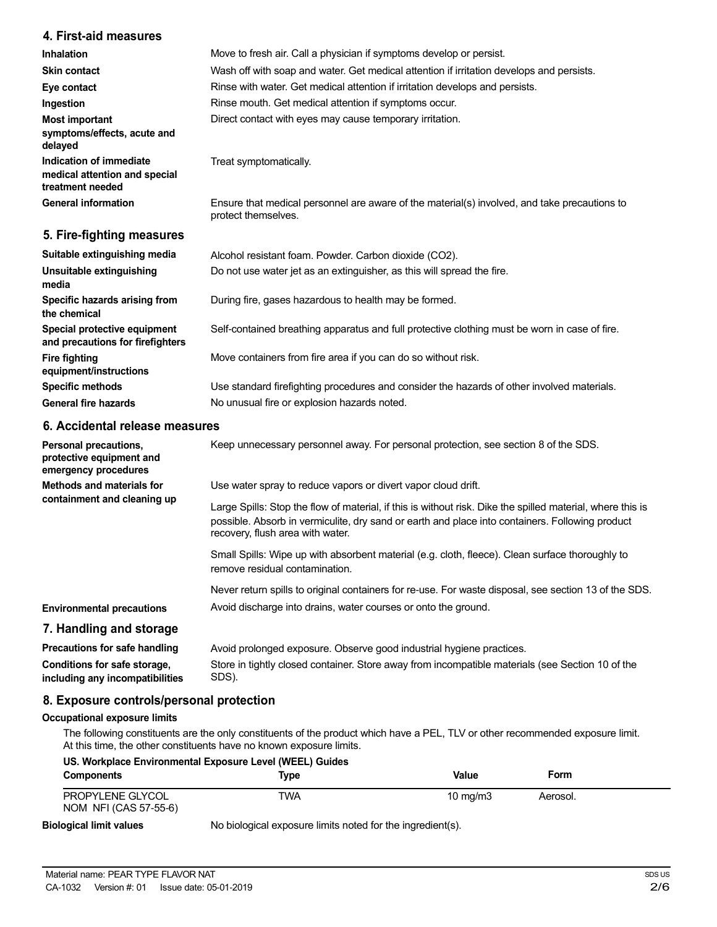## **4. First-aid measures**

| Inhalation                                                                   | Move to fresh air. Call a physician if symptoms develop or persist.                                                 |
|------------------------------------------------------------------------------|---------------------------------------------------------------------------------------------------------------------|
| <b>Skin contact</b>                                                          | Wash off with soap and water. Get medical attention if irritation develops and persists.                            |
| Eye contact                                                                  | Rinse with water. Get medical attention if irritation develops and persists.                                        |
| Ingestion                                                                    | Rinse mouth. Get medical attention if symptoms occur.                                                               |
| Most important<br>symptoms/effects, acute and<br>delayed                     | Direct contact with eyes may cause temporary irritation.                                                            |
| Indication of immediate<br>medical attention and special<br>treatment needed | Treat symptomatically.                                                                                              |
| <b>General information</b>                                                   | Ensure that medical personnel are aware of the material(s) involved, and take precautions to<br>protect themselves. |
| 5. Fire-fighting measures                                                    |                                                                                                                     |

| Suitable extinguishing media                                     | Alcohol resistant foam. Powder. Carbon dioxide (CO2).                                         |
|------------------------------------------------------------------|-----------------------------------------------------------------------------------------------|
| Unsuitable extinguishing<br>media                                | Do not use water jet as an extinguisher, as this will spread the fire.                        |
| Specific hazards arising from<br>the chemical                    | During fire, gases hazardous to health may be formed.                                         |
| Special protective equipment<br>and precautions for firefighters | Self-contained breathing apparatus and full protective clothing must be worn in case of fire. |
| <b>Fire fighting</b><br>equipment/instructions                   | Move containers from fire area if you can do so without risk.                                 |
| <b>Specific methods</b>                                          | Use standard firefighting procedures and consider the hazards of other involved materials.    |
| <b>General fire hazards</b>                                      | No unusual fire or explosion hazards noted.                                                   |
|                                                                  |                                                                                               |

## **6. Accidental release measures**

| Personal precautions,<br>protective equipment and<br>emergency procedures | Keep unnecessary personnel away. For personal protection, see section 8 of the SDS.                                                                                                                                                               |
|---------------------------------------------------------------------------|---------------------------------------------------------------------------------------------------------------------------------------------------------------------------------------------------------------------------------------------------|
| Methods and materials for                                                 | Use water spray to reduce vapors or divert vapor cloud drift.                                                                                                                                                                                     |
| containment and cleaning up                                               | Large Spills: Stop the flow of material, if this is without risk. Dike the spilled material, where this is<br>possible. Absorb in vermiculite, dry sand or earth and place into containers. Following product<br>recovery, flush area with water. |
|                                                                           | Small Spills: Wipe up with absorbent material (e.g. cloth, fleece). Clean surface thoroughly to<br>remove residual contamination.                                                                                                                 |
|                                                                           | Never return spills to original containers for re-use. For waste disposal, see section 13 of the SDS.                                                                                                                                             |
| <b>Environmental precautions</b>                                          | Avoid discharge into drains, water courses or onto the ground.                                                                                                                                                                                    |
| 7. Handling and storage                                                   |                                                                                                                                                                                                                                                   |
| Precautions for safe handling                                             | Avoid prolonged exposure. Observe good industrial hygiene practices.                                                                                                                                                                              |
| Conditions for safe storage,<br>including any incompatibilities           | Store in tightly closed container. Store away from incompatible materials (see Section 10 of the<br>SDS).                                                                                                                                         |

## **8. Exposure controls/personal protection**

#### **Occupational exposure limits**

The following constituents are the only constituents of the product which have a PEL, TLV or other recommended exposure limit. At this time, the other constituents have no known exposure limits.

| US. Workplace Environmental Exposure Level (WEEL) Guides |                                                                                                                     |            |          |  |
|----------------------------------------------------------|---------------------------------------------------------------------------------------------------------------------|------------|----------|--|
| <b>Components</b>                                        | Type                                                                                                                | Value      | Form     |  |
| <b>PROPYLENE GLYCOL</b><br>NOM NFI (CAS 57-55-6)         | TWA                                                                                                                 | 10 $ma/m3$ | Aerosol. |  |
| المتحادث والمحادث فالتحميل والمتحدث والمتحاد والمتار     | $\mathbf{M}$ is the later of a comparison of the first standard from the collection of $\mathbf{M}$ is $\mathbf{M}$ |            |          |  |

**Biological limit values**

No biological exposure limits noted for the ingredient(s).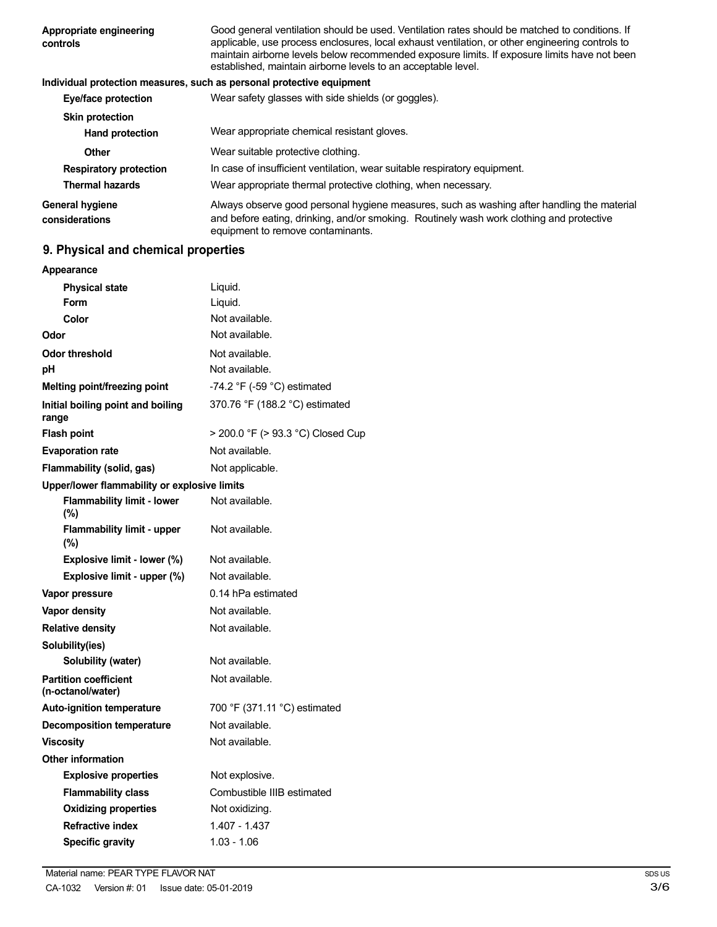| Appropriate engineering<br>controls | Good general ventilation should be used. Ventilation rates should be matched to conditions. If<br>applicable, use process enclosures, local exhaust ventilation, or other engineering controls to<br>maintain airborne levels below recommended exposure limits. If exposure limits have not been<br>established, maintain airborne levels to an acceptable level. |
|-------------------------------------|--------------------------------------------------------------------------------------------------------------------------------------------------------------------------------------------------------------------------------------------------------------------------------------------------------------------------------------------------------------------|
|                                     | Individual protection measures, such as personal protective equipment                                                                                                                                                                                                                                                                                              |
| Eye/face protection                 | Wear safety glasses with side shields (or goggles).                                                                                                                                                                                                                                                                                                                |
| <b>Skin protection</b>              |                                                                                                                                                                                                                                                                                                                                                                    |
| <b>Hand protection</b>              | Wear appropriate chemical resistant gloves.                                                                                                                                                                                                                                                                                                                        |
| Other                               | Wear suitable protective clothing.                                                                                                                                                                                                                                                                                                                                 |
| <b>Respiratory protection</b>       | In case of insufficient ventilation, wear suitable respiratory equipment.                                                                                                                                                                                                                                                                                          |
| <b>Thermal hazards</b>              | Wear appropriate thermal protective clothing, when necessary.                                                                                                                                                                                                                                                                                                      |
| General hygiene<br>considerations   | Always observe good personal hygiene measures, such as washing after handling the material<br>and before eating, drinking, and/or smoking. Routinely wash work clothing and protective<br>equipment to remove contaminants.                                                                                                                                        |

## **9. Physical and chemical properties**

| Appearance                                        |                                   |
|---------------------------------------------------|-----------------------------------|
| <b>Physical state</b>                             | Liquid.                           |
| Form                                              | Liquid.                           |
| Color                                             | Not available.                    |
| Odor                                              | Not available.                    |
| <b>Odor threshold</b>                             | Not available.                    |
| рH                                                | Not available.                    |
| Melting point/freezing point                      | -74.2 °F (-59 °C) estimated       |
| Initial boiling point and boiling<br>range        | 370.76 °F (188.2 °C) estimated    |
| <b>Flash point</b>                                | > 200.0 °F (> 93.3 °C) Closed Cup |
| <b>Evaporation rate</b>                           | Not available.                    |
| Flammability (solid, gas)                         | Not applicable.                   |
| Upper/lower flammability or explosive limits      |                                   |
| <b>Flammability limit - lower</b><br>$(\%)$       | Not available.                    |
| Flammability limit - upper<br>(%)                 | Not available.                    |
| Explosive limit - lower (%)                       | Not available.                    |
| Explosive limit - upper (%)                       | Not available.                    |
| Vapor pressure                                    | 0.14 hPa estimated                |
| <b>Vapor density</b>                              | Not available.                    |
| <b>Relative density</b>                           | Not available.                    |
| Solubility(ies)                                   |                                   |
| Solubility (water)                                | Not available.                    |
| <b>Partition coefficient</b><br>(n-octanol/water) | Not available.                    |
| <b>Auto-ignition temperature</b>                  | 700 °F (371.11 °C) estimated      |
| <b>Decomposition temperature</b>                  | Not available.                    |
| <b>Viscosity</b>                                  | Not available.                    |
| <b>Other information</b>                          |                                   |
| <b>Explosive properties</b>                       | Not explosive.                    |
| <b>Flammability class</b>                         | Combustible IIIB estimated        |
| <b>Oxidizing properties</b>                       | Not oxidizing.                    |
| <b>Refractive index</b>                           | 1.407 - 1.437                     |
| <b>Specific gravity</b>                           | $1.03 - 1.06$                     |
|                                                   |                                   |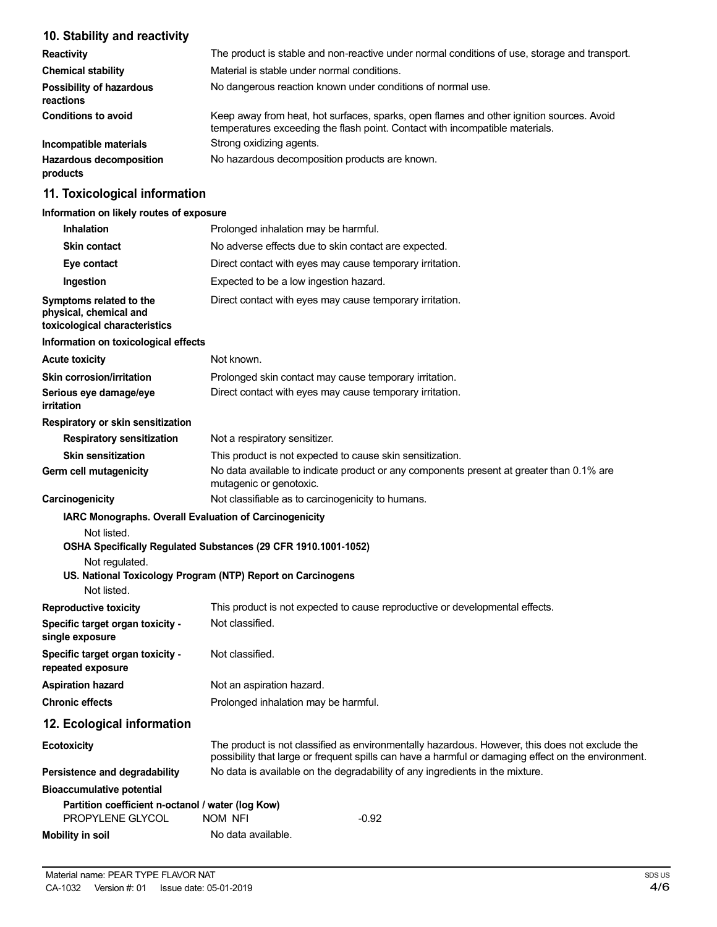## **10. Stability and reactivity**

| <b>Reactivity</b>                            | The product is stable and non-reactive under normal conditions of use, storage and transport.                                                                            |
|----------------------------------------------|--------------------------------------------------------------------------------------------------------------------------------------------------------------------------|
| <b>Chemical stability</b>                    | Material is stable under normal conditions.                                                                                                                              |
| <b>Possibility of hazardous</b><br>reactions | No dangerous reaction known under conditions of normal use.                                                                                                              |
| <b>Conditions to avoid</b>                   | Keep away from heat, hot surfaces, sparks, open flames and other ignition sources. Avoid<br>temperatures exceeding the flash point. Contact with incompatible materials. |
| Incompatible materials                       | Strong oxidizing agents.                                                                                                                                                 |
| <b>Hazardous decomposition</b><br>products   | No hazardous decomposition products are known.                                                                                                                           |

## **11. Toxicological information**

## **Information on likely routes of exposure**

| <b>Inhalation</b>                                                                                      | Prolonged inhalation may be harmful.                                                                                                                                                                  |
|--------------------------------------------------------------------------------------------------------|-------------------------------------------------------------------------------------------------------------------------------------------------------------------------------------------------------|
| <b>Skin contact</b>                                                                                    | No adverse effects due to skin contact are expected.                                                                                                                                                  |
| Eye contact                                                                                            | Direct contact with eyes may cause temporary irritation.                                                                                                                                              |
| Ingestion                                                                                              | Expected to be a low ingestion hazard.                                                                                                                                                                |
| Symptoms related to the<br>physical, chemical and<br>toxicological characteristics                     | Direct contact with eyes may cause temporary irritation.                                                                                                                                              |
| Information on toxicological effects                                                                   |                                                                                                                                                                                                       |
| <b>Acute toxicity</b>                                                                                  | Not known.                                                                                                                                                                                            |
| <b>Skin corrosion/irritation</b><br>Serious eye damage/eye<br>irritation                               | Prolonged skin contact may cause temporary irritation.<br>Direct contact with eyes may cause temporary irritation.                                                                                    |
| Respiratory or skin sensitization                                                                      |                                                                                                                                                                                                       |
| <b>Respiratory sensitization</b>                                                                       | Not a respiratory sensitizer.                                                                                                                                                                         |
| <b>Skin sensitization</b>                                                                              | This product is not expected to cause skin sensitization.                                                                                                                                             |
| Germ cell mutagenicity                                                                                 | No data available to indicate product or any components present at greater than 0.1% are<br>mutagenic or genotoxic.                                                                                   |
| Carcinogenicity                                                                                        | Not classifiable as to carcinogenicity to humans.                                                                                                                                                     |
| IARC Monographs. Overall Evaluation of Carcinogenicity<br>Not listed.<br>Not regulated.<br>Not listed. | OSHA Specifically Regulated Substances (29 CFR 1910.1001-1052)<br>US. National Toxicology Program (NTP) Report on Carcinogens                                                                         |
| <b>Reproductive toxicity</b>                                                                           | This product is not expected to cause reproductive or developmental effects.                                                                                                                          |
| Specific target organ toxicity -<br>single exposure                                                    | Not classified.                                                                                                                                                                                       |
| Specific target organ toxicity -<br>repeated exposure                                                  | Not classified.                                                                                                                                                                                       |
| <b>Aspiration hazard</b>                                                                               | Not an aspiration hazard.                                                                                                                                                                             |
| <b>Chronic effects</b>                                                                                 | Prolonged inhalation may be harmful.                                                                                                                                                                  |
| 12. Ecological information                                                                             |                                                                                                                                                                                                       |
| <b>Ecotoxicity</b>                                                                                     | The product is not classified as environmentally hazardous. However, this does not exclude the<br>possibility that large or frequent spills can have a harmful or damaging effect on the environment. |
| Persistence and degradability                                                                          | No data is available on the degradability of any ingredients in the mixture.                                                                                                                          |
| <b>Bioaccumulative potential</b>                                                                       |                                                                                                                                                                                                       |
| Partition coefficient n-octanol / water (log Kow)<br>PROPYLENE GLYCOL                                  | $-0.92$<br>NOM NFI                                                                                                                                                                                    |
| <b>Mobility in soil</b>                                                                                | No data available.                                                                                                                                                                                    |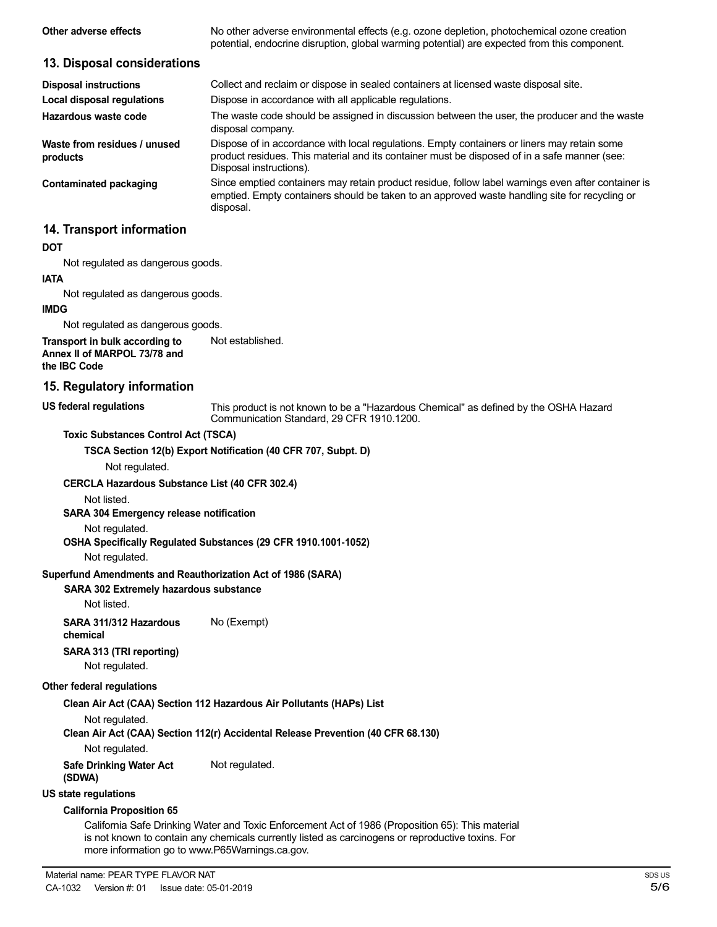| Other adverse effects                                                          | No other adverse environmental effects (e.g. ozone depletion, photochemical ozone creation<br>potential, endocrine disruption, global warming potential) are expected from this component.                             |
|--------------------------------------------------------------------------------|------------------------------------------------------------------------------------------------------------------------------------------------------------------------------------------------------------------------|
| 13. Disposal considerations                                                    |                                                                                                                                                                                                                        |
| <b>Disposal instructions</b>                                                   | Collect and reclaim or dispose in sealed containers at licensed waste disposal site.                                                                                                                                   |
| <b>Local disposal regulations</b>                                              | Dispose in accordance with all applicable regulations.                                                                                                                                                                 |
| Hazardous waste code                                                           | The waste code should be assigned in discussion between the user, the producer and the waste<br>disposal company.                                                                                                      |
| Waste from residues / unused<br>products                                       | Dispose of in accordance with local regulations. Empty containers or liners may retain some<br>product residues. This material and its container must be disposed of in a safe manner (see:<br>Disposal instructions). |
| <b>Contaminated packaging</b>                                                  | Since emptied containers may retain product residue, follow label warnings even after container is<br>emptied. Empty containers should be taken to an approved waste handling site for recycling or<br>disposal.       |
| 14. Transport information                                                      |                                                                                                                                                                                                                        |
| <b>DOT</b>                                                                     |                                                                                                                                                                                                                        |
| Not regulated as dangerous goods.                                              |                                                                                                                                                                                                                        |
| <b>IATA</b>                                                                    |                                                                                                                                                                                                                        |
| Not regulated as dangerous goods.                                              |                                                                                                                                                                                                                        |
| <b>IMDG</b>                                                                    |                                                                                                                                                                                                                        |
| Not regulated as dangerous goods.                                              |                                                                                                                                                                                                                        |
| Transport in bulk according to<br>Annex II of MARPOL 73/78 and<br>the IBC Code | Not established.                                                                                                                                                                                                       |
| 15. Regulatory information                                                     |                                                                                                                                                                                                                        |

#### **US federal regulations**

This product is not known to be a "Hazardous Chemical" as defined by the OSHA Hazard Communication Standard, 29 CFR 1910.1200.

#### **Toxic Substances Control Act (TSCA)**

**TSCA Section 12(b) Export Notification (40 CFR 707, Subpt. D)**

Not regulated.

#### **CERCLA Hazardous Substance List (40 CFR 302.4)**

Not listed.

#### **SARA 304 Emergency release notification**

Not regulated.

#### **OSHA Specifically Regulated Substances (29 CFR 1910.1001-1052)**

Not regulated.

#### **Superfund Amendments and Reauthorization Act of 1986 (SARA)**

#### **SARA 302 Extremely hazardous substance**

Not listed.

**SARA 311/312 Hazardous** No (Exempt) **chemical**

## **SARA 313 (TRI reporting)**

Not regulated.

#### **Other federal regulations**

#### **Clean Air Act (CAA) Section 112 Hazardous Air Pollutants (HAPs) List**

Not regulated.

**Clean Air Act (CAA) Section 112(r) Accidental Release Prevention (40 CFR 68.130)**

Not regulated.

**Safe Drinking Water Act** Not regulated.

#### **(SDWA) US state regulations**

## **California Proposition 65**

California Safe Drinking Water and Toxic Enforcement Act of 1986 (Proposition 65): This material is not known to contain any chemicals currently listed as carcinogens or reproductive toxins. For more information go to www.P65Warnings.ca.gov.